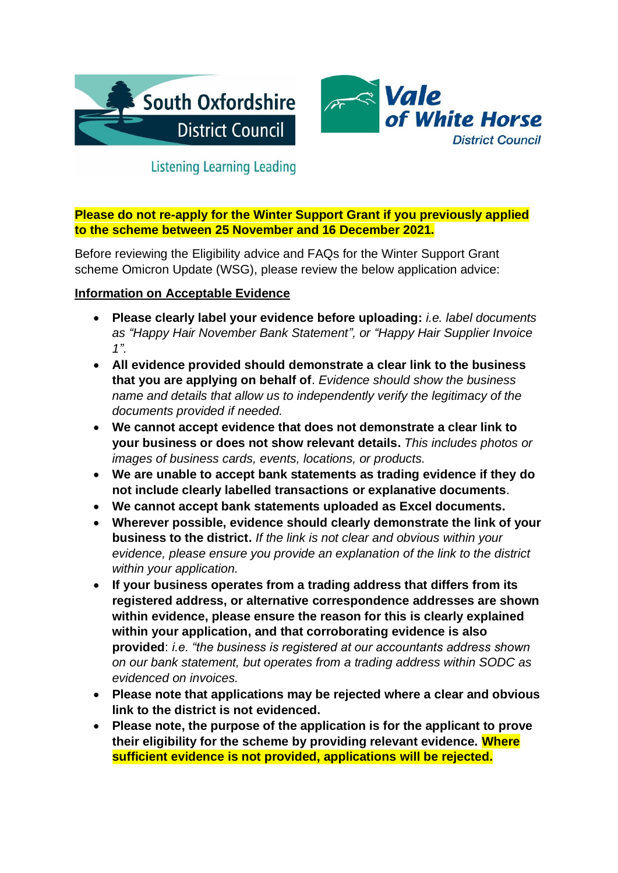



# **Listening Learning Leading**

**Please do not re-apply for the Winter Support Grant if you previously applied to the scheme between 25 November and 16 December 2021.** 

Before reviewing the Eligibility advice and FAQs for the Winter Support Grant scheme Omicron Update (WSG), please review the below application advice:

#### **Information on Acceptable Evidence**

- **Please clearly label your evidence before uploading:** *i.e. label documents as "Happy Hair November Bank Statement", or "Happy Hair Supplier Invoice 1".*
- **All evidence provided should demonstrate a clear link to the business that you are applying on behalf of**. *Evidence should show the business name and details that allow us to independently verify the legitimacy of the documents provided if needed.*
- **We cannot accept evidence that does not demonstrate a clear link to your business or does not show relevant details.** *This includes photos or images of business cards, events, locations, or products.*
- **We are unable to accept bank statements as trading evidence if they do not include clearly labelled transactions or explanative documents**.
- **We cannot accept bank statements uploaded as Excel documents.**
- **Wherever possible, evidence should clearly demonstrate the link of your business to the district.** *If the link is not clear and obvious within your evidence, please ensure you provide an explanation of the link to the district within your application.*
- **If your business operates from a trading address that differs from its registered address, or alternative correspondence addresses are shown within evidence, please ensure the reason for this is clearly explained within your application, and that corroborating evidence is also provided**: *i.e. "the business is registered at our accountants address shown on our bank statement, but operates from a trading address within SODC as evidenced on invoices.*
- **Please note that applications may be rejected where a clear and obvious link to the district is not evidenced.**
- **Please note, the purpose of the application is for the applicant to prove their eligibility for the scheme by providing relevant evidence. Where sufficient evidence is not provided, applications will be rejected.**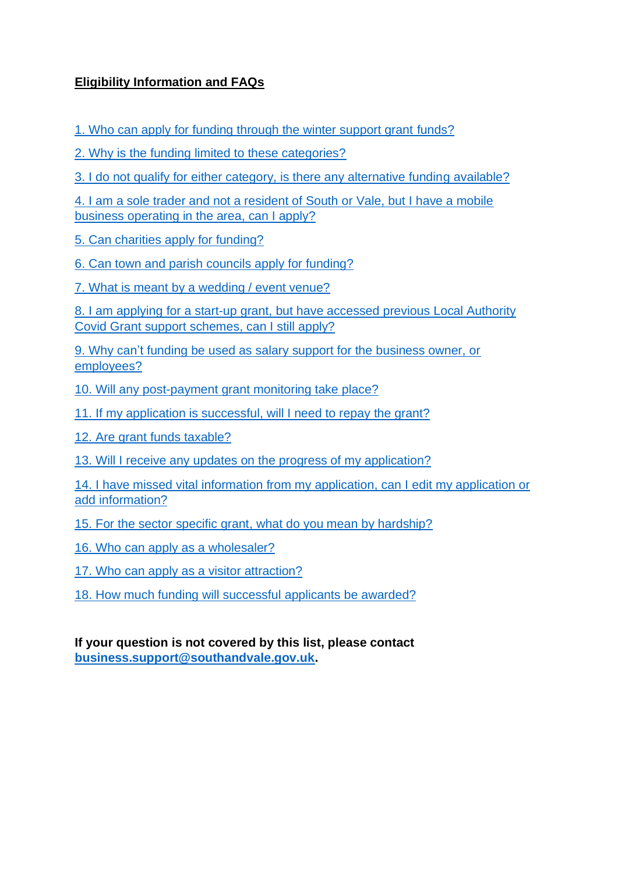# **Eligibility Information and FAQs**

[1. Who can apply for funding through the winter support grant](#page-2-0) funds?

[2. Why is the funding limited to these categories?](#page-4-0)

[3. I do not qualify for either category, is there any alternative funding available?](#page-4-1)

[4. I am a sole trader and not a resident of South or Vale, but I have a mobile](#page-5-0)  [business operating in the area, can I apply?](#page-5-0)

[5. Can charities apply for funding?](#page-5-1)

[6. Can town and parish councils apply for funding?](#page-5-2)

[7. What is meant by a wedding / event venue?](#page-5-3)

8. I am applying for a start-up [grant, but have accessed previous Local Authority](#page-5-4)  [Covid Grant support schemes, can I still apply?](#page-5-4)

9. Why can't [funding be used as salary support for the business owner, or](#page-6-0)  [employees?](#page-6-0)

[10. Will any post-payment grant monitoring take place?](#page-6-1)

[11. If my application is successful, will I need to repay the grant?](#page-6-2)

[12. Are grant funds taxable?](#page-6-3)

[13. Will I receive any updates on the progress of my application?](#page-6-4)

[14. I have missed vital information from my application, can I edit my application](#page-7-0) or [add information?](#page-7-0)

[15. For the sector specific grant, what](#page-7-1) do you mean by hardship?

16. Who can [apply as a wholesaler?](#page-7-2)

17. Who can apply as a visitor attraction?

[18. How much funding will successful applicants be awarded?](#page-7-3)

**If your question is not covered by this list, please contact [business.support@southandvale.gov.uk.](mailto:business.support@southandvale.gov.uk)**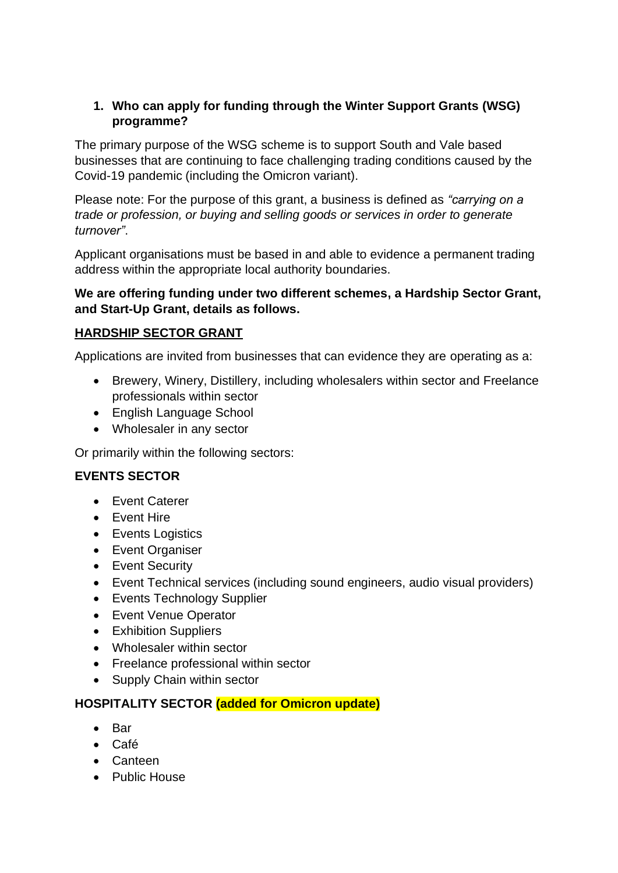<span id="page-2-0"></span>**1. Who can apply for funding through the Winter Support Grants (WSG) programme?**

The primary purpose of the WSG scheme is to support South and Vale based businesses that are continuing to face challenging trading conditions caused by the Covid-19 pandemic (including the Omicron variant).

Please note: For the purpose of this grant, a business is defined as *"carrying on a trade or profession, or buying and selling goods or services in order to generate turnover"*.

Applicant organisations must be based in and able to evidence a permanent trading address within the appropriate local authority boundaries.

### **We are offering funding under two different schemes, a Hardship Sector Grant, and Start-Up Grant, details as follows.**

### **HARDSHIP SECTOR GRANT**

Applications are invited from businesses that can evidence they are operating as a:

- Brewery, Winery, Distillery, including wholesalers within sector and Freelance professionals within sector
- English Language School
- Wholesaler in any sector

Or primarily within the following sectors:

### **EVENTS SECTOR**

- Event Caterer
- Event Hire
- Events Logistics
- Event Organiser
- Event Security
- Event Technical services (including sound engineers, audio visual providers)
- Events Technology Supplier
- Event Venue Operator
- Exhibition Suppliers
- Wholesaler within sector
- Freelance professional within sector
- Supply Chain within sector

#### **HOSPITALITY SECTOR (added for Omicron update)**

- Bar
- Café
- Canteen
- Public House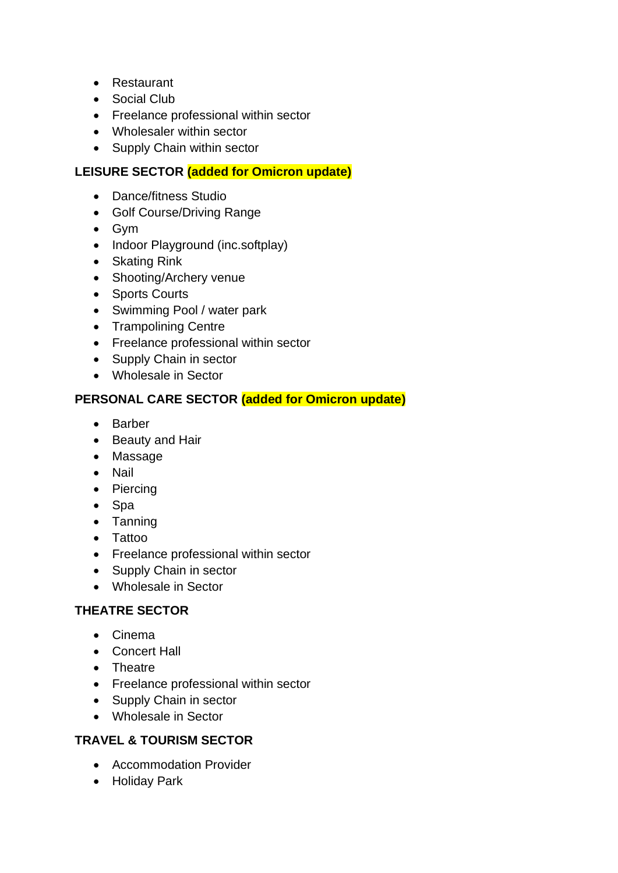- Restaurant
- Social Club
- Freelance professional within sector
- Wholesaler within sector
- Supply Chain within sector

# **LEISURE SECTOR (added for Omicron update)**

- Dance/fitness Studio
- Golf Course/Driving Range
- Gym
- Indoor Playground (inc.softplay)
- Skating Rink
- Shooting/Archery venue
- Sports Courts
- Swimming Pool / water park
- Trampolining Centre
- Freelance professional within sector
- Supply Chain in sector
- Wholesale in Sector

### **PERSONAL CARE SECTOR (added for Omicron update)**

- Barber
- Beauty and Hair
- Massage
- Nail
- Piercing
- Spa
- Tanning
- Tattoo
- Freelance professional within sector
- Supply Chain in sector
- Wholesale in Sector

# **THEATRE SECTOR**

- Cinema
- Concert Hall
- Theatre
- Freelance professional within sector
- Supply Chain in sector
- Wholesale in Sector

# **TRAVEL & TOURISM SECTOR**

- Accommodation Provider
- Holiday Park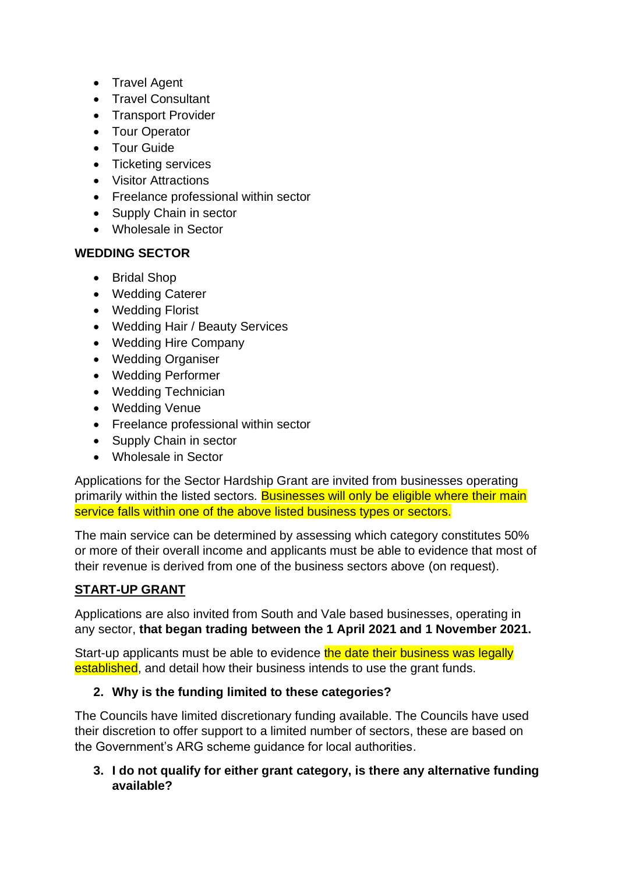- Travel Agent
- Travel Consultant
- Transport Provider
- Tour Operator
- Tour Guide
- Ticketing services
- Visitor Attractions
- Freelance professional within sector
- Supply Chain in sector
- Wholesale in Sector

### **WEDDING SECTOR**

- Bridal Shop
- Wedding Caterer
- Wedding Florist
- Wedding Hair / Beauty Services
- Wedding Hire Company
- Wedding Organiser
- Wedding Performer
- Wedding Technician
- Wedding Venue
- Freelance professional within sector
- Supply Chain in sector
- Wholesale in Sector

Applications for the Sector Hardship Grant are invited from businesses operating primarily within the listed sectors. Businesses will only be eligible where their main service falls within one of the above listed business types or sectors.

The main service can be determined by assessing which category constitutes 50% or more of their overall income and applicants must be able to evidence that most of their revenue is derived from one of the business sectors above (on request).

# **START-UP GRANT**

Applications are also invited from South and Vale based businesses, operating in any sector, **that began trading between the 1 April 2021 and 1 November 2021.**

Start-up applicants must be able to evidence the date their business was legally established, and detail how their business intends to use the grant funds.

# <span id="page-4-0"></span>**2. Why is the funding limited to these categories?**

The Councils have limited discretionary funding available. The Councils have used their discretion to offer support to a limited number of sectors, these are based on the Government's ARG scheme guidance for local authorities.

<span id="page-4-1"></span>**3. I do not qualify for either grant category, is there any alternative funding available?**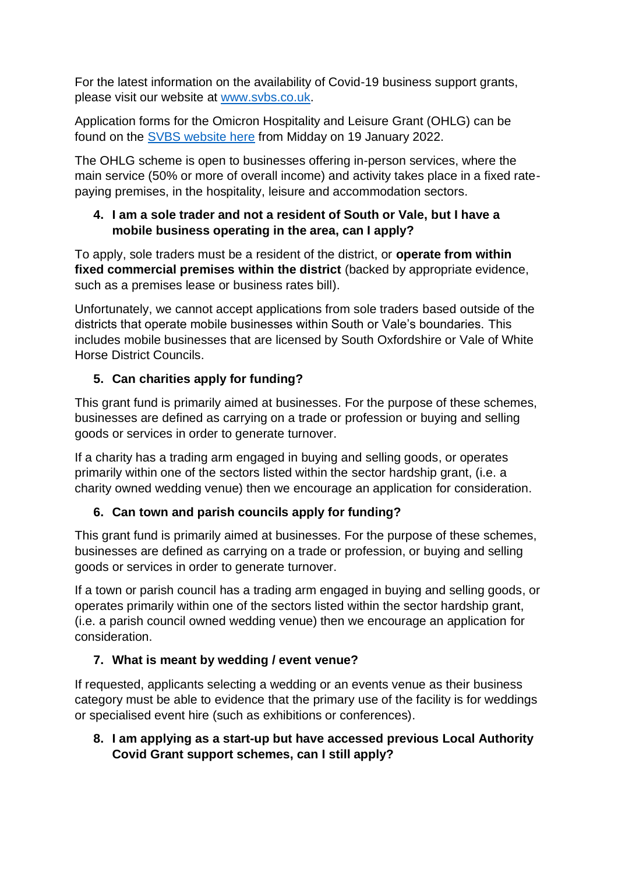For the latest information on the availability of Covid-19 business support grants, please visit our website at [www.svbs.co.uk.](http://www.svbs.co.uk/)

Application forms for the Omicron Hospitality and Leisure Grant (OHLG) can be found on the [SVBS website here](https://www.svbs.co.uk/omicron-hospitality-and-leisure-grant/) from Midday on 19 January 2022.

The OHLG scheme is open to businesses offering in-person services, where the main service (50% or more of overall income) and activity takes place in a fixed ratepaying premises, in the hospitality, leisure and accommodation sectors.

### <span id="page-5-0"></span>**4. I am a sole trader and not a resident of South or Vale, but I have a mobile business operating in the area, can I apply?**

To apply, sole traders must be a resident of the district, or **operate from within fixed commercial premises within the district** (backed by appropriate evidence, such as a premises lease or business rates bill).

Unfortunately, we cannot accept applications from sole traders based outside of the districts that operate mobile businesses within South or Vale's boundaries. This includes mobile businesses that are licensed by South Oxfordshire or Vale of White Horse District Councils.

# <span id="page-5-1"></span>**5. Can charities apply for funding?**

This grant fund is primarily aimed at businesses. For the purpose of these schemes, businesses are defined as carrying on a trade or profession or buying and selling goods or services in order to generate turnover.

If a charity has a trading arm engaged in buying and selling goods, or operates primarily within one of the sectors listed within the sector hardship grant, (i.e. a charity owned wedding venue) then we encourage an application for consideration.

# <span id="page-5-2"></span>**6. Can town and parish councils apply for funding?**

This grant fund is primarily aimed at businesses. For the purpose of these schemes, businesses are defined as carrying on a trade or profession, or buying and selling goods or services in order to generate turnover.

If a town or parish council has a trading arm engaged in buying and selling goods, or operates primarily within one of the sectors listed within the sector hardship grant, (i.e. a parish council owned wedding venue) then we encourage an application for consideration.

# <span id="page-5-3"></span>**7. What is meant by wedding / event venue?**

If requested, applicants selecting a wedding or an events venue as their business category must be able to evidence that the primary use of the facility is for weddings or specialised event hire (such as exhibitions or conferences).

# <span id="page-5-4"></span>**8. I am applying as a start-up but have accessed previous Local Authority Covid Grant support schemes, can I still apply?**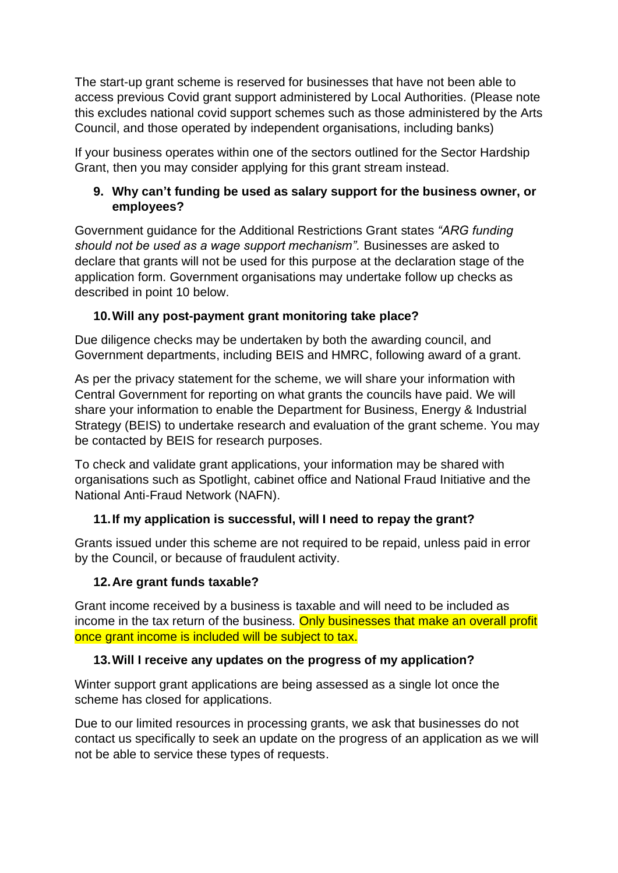The start-up grant scheme is reserved for businesses that have not been able to access previous Covid grant support administered by Local Authorities. (Please note this excludes national covid support schemes such as those administered by the Arts Council, and those operated by independent organisations, including banks)

If your business operates within one of the sectors outlined for the Sector Hardship Grant, then you may consider applying for this grant stream instead.

# <span id="page-6-0"></span>**9. Why can't funding be used as salary support for the business owner, or employees?**

Government guidance for the Additional Restrictions Grant states *"ARG funding should not be used as a wage support mechanism".* Businesses are asked to declare that grants will not be used for this purpose at the declaration stage of the application form. Government organisations may undertake follow up checks as described in point 10 below.

# <span id="page-6-1"></span>**10.Will any post-payment grant monitoring take place?**

Due diligence checks may be undertaken by both the awarding council, and Government departments, including BEIS and HMRC, following award of a grant.

As per the privacy statement for the scheme, we will share your information with Central Government for reporting on what grants the councils have paid. We will share your information to enable the Department for Business, Energy & Industrial Strategy (BEIS) to undertake research and evaluation of the grant scheme. You may be contacted by BEIS for research purposes.

To check and validate grant applications, your information may be shared with organisations such as Spotlight, cabinet office and National Fraud Initiative and the National Anti-Fraud Network (NAFN).

# <span id="page-6-2"></span>**11.If my application is successful, will I need to repay the grant?**

Grants issued under this scheme are not required to be repaid, unless paid in error by the Council, or because of fraudulent activity.

# <span id="page-6-3"></span>**12.Are grant funds taxable?**

Grant income received by a business is taxable and will need to be included as income in the tax return of the business. Only businesses that make an overall profit once grant income is included will be subject to tax.

# <span id="page-6-4"></span>**13.Will I receive any updates on the progress of my application?**

Winter support grant applications are being assessed as a single lot once the scheme has closed for applications.

Due to our limited resources in processing grants, we ask that businesses do not contact us specifically to seek an update on the progress of an application as we will not be able to service these types of requests.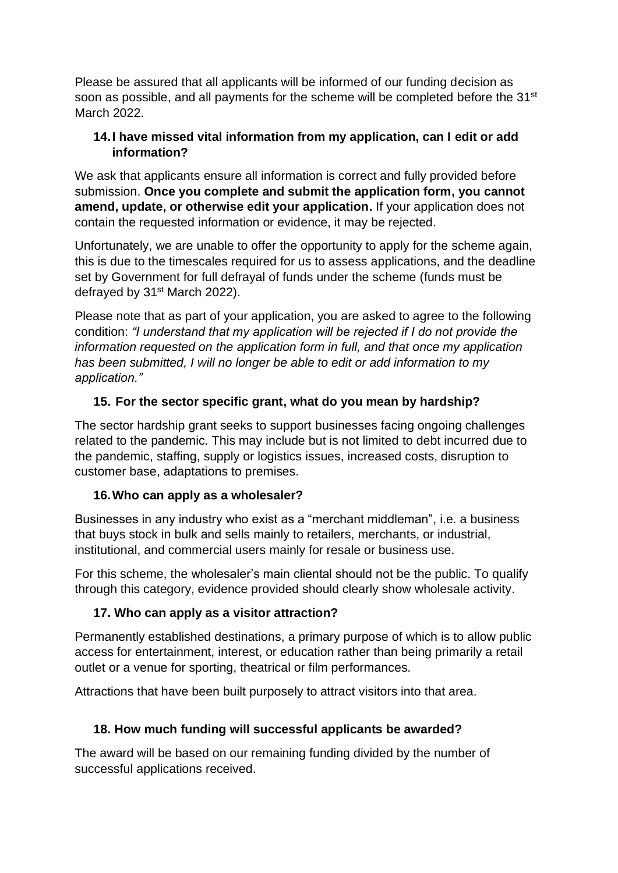Please be assured that all applicants will be informed of our funding decision as soon as possible, and all payments for the scheme will be completed before the 31<sup>st</sup> March 2022.

### <span id="page-7-0"></span>**14.I have missed vital information from my application, can I edit or add information?**

We ask that applicants ensure all information is correct and fully provided before submission. **Once you complete and submit the application form, you cannot amend, update, or otherwise edit your application.** If your application does not contain the requested information or evidence, it may be rejected.

Unfortunately, we are unable to offer the opportunity to apply for the scheme again, this is due to the timescales required for us to assess applications, and the deadline set by Government for full defrayal of funds under the scheme (funds must be defrayed by 31<sup>st</sup> March 2022).

Please note that as part of your application, you are asked to agree to the following condition: *"I understand that my application will be rejected if I do not provide the information requested on the application form in full, and that once my application has been submitted, I will no longer be able to edit or add information to my application."*

# <span id="page-7-1"></span>**15. For the sector specific grant, what do you mean by hardship?**

The sector hardship grant seeks to support businesses facing ongoing challenges related to the pandemic. This may include but is not limited to debt incurred due to the pandemic, staffing, supply or logistics issues, increased costs, disruption to customer base, adaptations to premises.

# <span id="page-7-2"></span>**16.Who can apply as a wholesaler?**

Businesses in any industry who exist as a "merchant middleman", i.e. a business that buys stock in bulk and sells mainly to retailers, merchants, or industrial, institutional, and commercial users mainly for resale or business use.

For this scheme, the wholesaler's main cliental should not be the public. To qualify through this category, evidence provided should clearly show wholesale activity.

# **17. Who can apply as a visitor attraction?**

Permanently established destinations, a primary purpose of which is to allow public access for entertainment, interest, or education rather than being primarily a retail outlet or a venue for sporting, theatrical or film performances.

Attractions that have been built purposely to attract visitors into that area.

### <span id="page-7-3"></span>**18. How much funding will successful applicants be awarded?**

The award will be based on our remaining funding divided by the number of successful applications received.